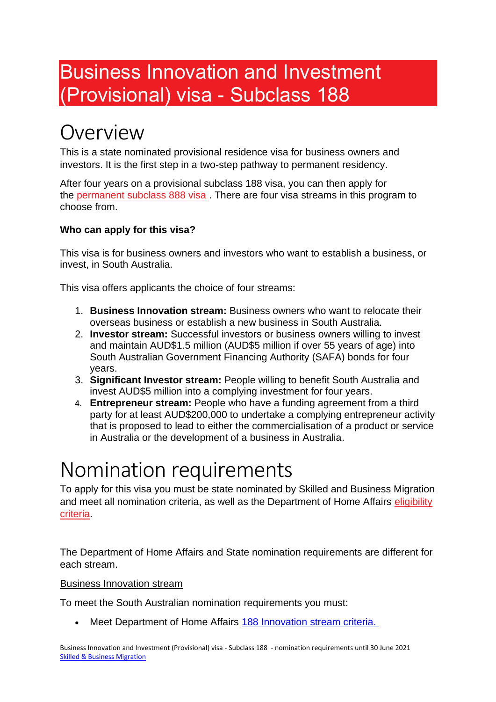### Business Innovation and Investment (Provisional) visa - Subclass 188

### Overview

This is a state nominated provisional residence visa for business owners and investors. It is the first step in a two-step pathway to permanent residency.

After four years on a provisional subclass 188 visa, you can then apply for the [permanent subclass 888 visa](https://www.migration.sa.gov.au/visa-options/business-and-investment-visas/business-innovation-and-investment-permanent-visa) . There are four visa streams in this program to choose from.

#### **Who can apply for this visa?**

This visa is for business owners and investors who want to establish a business, or invest, in South Australia.

This visa offers applicants the choice of four streams:

- 1. **Business Innovation stream:** Business owners who want to relocate their overseas business or establish a new business in South Australia.
- 2. **Investor stream:** Successful investors or business owners willing to invest and maintain AUD\$1.5 million (AUD\$5 million if over 55 years of age) into South Australian Government Financing Authority (SAFA) bonds for four years.
- 3. **Significant Investor stream:** People willing to benefit South Australia and invest AUD\$5 million into a complying investment for four years.
- 4. **Entrepreneur stream:** People who have a funding agreement from a third party for at least AUD\$200,000 to undertake a complying entrepreneur activity that is proposed to lead to either the commercialisation of a product or service in Australia or the development of a business in Australia.

# Nomination requirements

To apply for this visa you must be state nominated by Skilled and Business Migration and meet all nomination criteria, as well as the Department of Home Affairs eligibility [criteria.](https://immi.homeaffairs.gov.au/visas/getting-a-visa/visa-listing/business-innovation-and-investment-188/business-innovation-stream#Eligibility)

The Department of Home Affairs and State nomination requirements are different for each stream.

Business Innovation stream

To meet the South Australian nomination requirements you must:

Meet Department of Home Affairs [188 Innovation stream criteria.](https://immi.homeaffairs.gov.au/visas/getting-a-visa/visa-listing/business-innovation-and-investment-188/business-innovation-stream)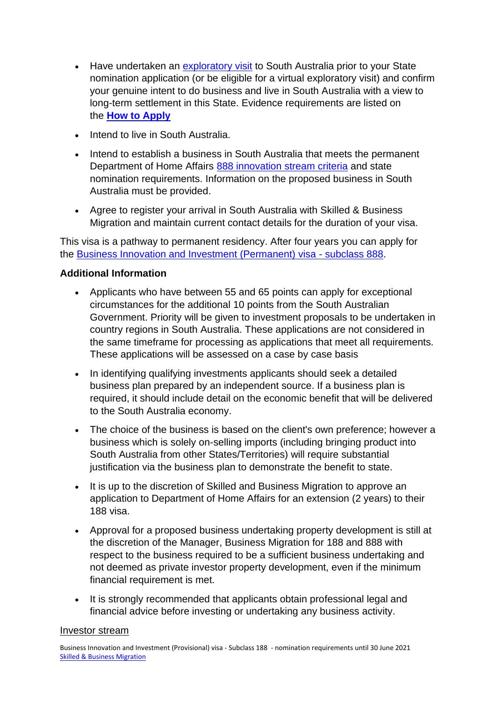- Have undertaken an [exploratory visit](https://www.migration.sa.gov.au/business-migrants/supporting-information/exploratory-visit) to South Australia prior to your State nomination application (or be eligible for a virtual exploratory visit) and confirm your genuine intent to do business and live in South Australia with a view to long-term settlement in this State. Evidence requirements are listed on the **[How to Apply](https://www.migration.sa.gov.au/visa-options/business-and-investment-visas/business-innovation-and-investment-provisional-visa#nav-apply)**
- Intend to live in South Australia.
- Intend to establish a business in South Australia that meets the permanent Department of Home Affairs [888 innovation stream criteria](https://immi.homeaffairs.gov.au/visas/getting-a-visa/visa-listing/business-innovation-and-investment-888/business-innovation-stream) and state nomination requirements. Information on the proposed business in South Australia must be provided.
- Agree to register your arrival in South Australia with Skilled & Business Migration and maintain current contact details for the duration of your visa.

This visa is a pathway to permanent residency. After four years you can apply for the [Business Innovation and Investment \(Permanent\) visa -](https://www.migration.sa.gov.au/visa-options/business-and-investment-visas/business-innovation-and-investment-permanent-visa) subclass 888.

#### **Additional Information**

- Applicants who have between 55 and 65 points can apply for exceptional circumstances for the additional 10 points from the South Australian Government. Priority will be given to investment proposals to be undertaken in country regions in South Australia. These applications are not considered in the same timeframe for processing as applications that meet all requirements. These applications will be assessed on a case by case basis
- In identifying qualifying investments applicants should seek a detailed business plan prepared by an independent source. If a business plan is required, it should include detail on the economic benefit that will be delivered to the South Australia economy.
- The choice of the business is based on the client's own preference; however a business which is solely on-selling imports (including bringing product into South Australia from other States/Territories) will require substantial justification via the business plan to demonstrate the benefit to state.
- It is up to the discretion of Skilled and Business Migration to approve an application to Department of Home Affairs for an extension (2 years) to their 188 visa.
- Approval for a proposed business undertaking property development is still at the discretion of the Manager, Business Migration for 188 and 888 with respect to the business required to be a sufficient business undertaking and not deemed as private investor property development, even if the minimum financial requirement is met.
- It is strongly recommended that applicants obtain professional legal and financial advice before investing or undertaking any business activity.

#### Investor stream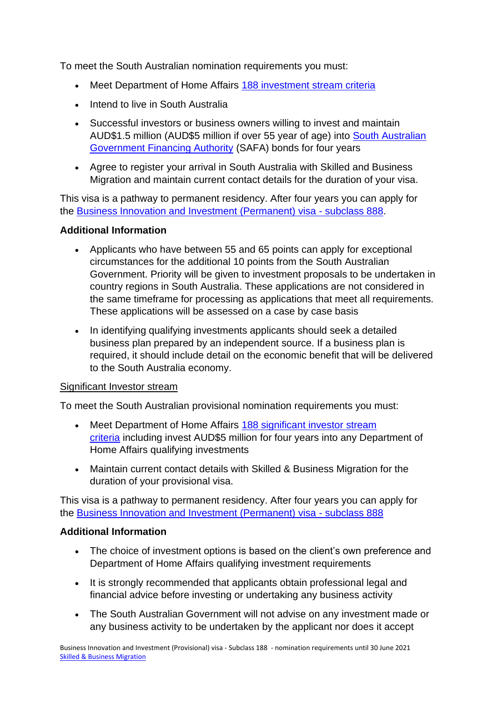To meet the South Australian nomination requirements you must:

- Meet Department of Home Affairs [188 investment stream criteria](https://immi.homeaffairs.gov.au/visas/getting-a-visa/visa-listing/business-innovation-and-investment-188/investor-stream)
- Intend to live in South Australia
- Successful investors or business owners willing to invest and maintain AUD\$1.5 million (AUD\$5 million if over 55 year of age) into [South Australian](https://www.safa.sa.gov.au/)  [Government Financing Authority](https://www.safa.sa.gov.au/) (SAFA) bonds for four years
- Agree to register your arrival in South Australia with Skilled and Business Migration and maintain current contact details for the duration of your visa.

This visa is a pathway to permanent residency. After four years you can apply for the [Business Innovation and Investment \(Permanent\) visa -](https://www.migration.sa.gov.au/visa-options/business-and-investment-visas/business-innovation-and-investment-permanent-visa) subclass 888.

#### **Additional Information**

- Applicants who have between 55 and 65 points can apply for exceptional circumstances for the additional 10 points from the South Australian Government. Priority will be given to investment proposals to be undertaken in country regions in South Australia. These applications are not considered in the same timeframe for processing as applications that meet all requirements. These applications will be assessed on a case by case basis
- In identifying qualifying investments applicants should seek a detailed business plan prepared by an independent source. If a business plan is required, it should include detail on the economic benefit that will be delivered to the South Australia economy.

#### Significant Investor stream

To meet the South Australian provisional nomination requirements you must:

- Meet Department of Home Affairs 188 significant investor stream [criteria](https://immi.homeaffairs.gov.au/visas/getting-a-visa/visa-listing/business-innovation-and-investment-188/significant-investor-stream) including invest AUD\$5 million for four years into any Department of Home Affairs qualifying investments
- Maintain current contact details with Skilled & Business Migration for the duration of your provisional visa.

This visa is a pathway to permanent residency. After four years you can apply for the [Business Innovation and Investment \(Permanent\) visa -](https://www.migration.sa.gov.au/visa-options/business-and-investment-visas/business-innovation-and-investment-permanent-visa) subclass 888

#### **Additional Information**

- The choice of investment options is based on the client's own preference and Department of Home Affairs qualifying investment requirements
- It is strongly recommended that applicants obtain professional legal and financial advice before investing or undertaking any business activity
- The South Australian Government will not advise on any investment made or any business activity to be undertaken by the applicant nor does it accept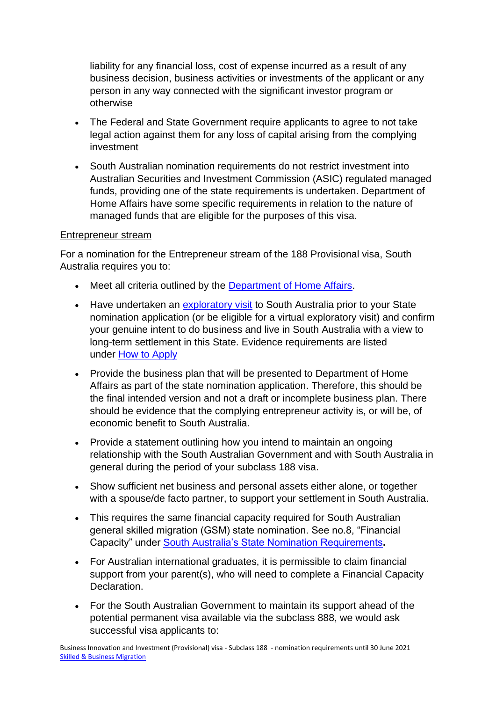liability for any financial loss, cost of expense incurred as a result of any business decision, business activities or investments of the applicant or any person in any way connected with the significant investor program or otherwise

- The Federal and State Government require applicants to agree to not take legal action against them for any loss of capital arising from the complying investment
- South Australian nomination requirements do not restrict investment into Australian Securities and Investment Commission (ASIC) regulated managed funds, providing one of the state requirements is undertaken. Department of Home Affairs have some specific requirements in relation to the nature of managed funds that are eligible for the purposes of this visa.

#### Entrepreneur stream

For a nomination for the Entrepreneur stream of the 188 Provisional visa, South Australia requires you to:

- Meet all criteria outlined by the [Department of Home Affairs.](https://immi.homeaffairs.gov.au/visas/getting-a-visa/visa-listing/business-innovation-and-investment-188/entrepreneur-stream)
- Have undertaken an [exploratory visit](https://www.migration.sa.gov.au/business-migrants/supporting-information/exploratory-visit) to South Australia prior to your State nomination application (or be eligible for a virtual exploratory visit) and confirm your genuine intent to do business and live in South Australia with a view to long-term settlement in this State. Evidence requirements are listed under [How to Apply](https://www.migration.sa.gov.au/visa-options/business-and-investment-visas/business-innovation-and-investment-provisional-visa#nav-apply)
- Provide the business plan that will be presented to Department of Home Affairs as part of the state nomination application. Therefore, this should be the final intended version and not a draft or incomplete business plan. There should be evidence that the complying entrepreneur activity is, or will be, of economic benefit to South Australia.
- Provide a statement outlining how you intend to maintain an ongoing relationship with the South Australian Government and with South Australia in general during the period of your subclass 188 visa.
- Show sufficient net business and personal assets either alone, or together with a spouse/de facto partner, to support your settlement in South Australia.
- This requires the same financial capacity required for South Australian general skilled migration (GSM) state nomination. See no.8, "Financial Capacity" under [South Australia's State Nomination Requirements](https://www.migration.sa.gov.au/skilled-migrants/supporting-information/state-nomination-requirements)**.**
- For Australian international graduates, it is permissible to claim financial support from your parent(s), who will need to complete a Financial Capacity Declaration.
- For the South Australian Government to maintain its support ahead of the potential permanent visa available via the subclass 888, we would ask successful visa applicants to: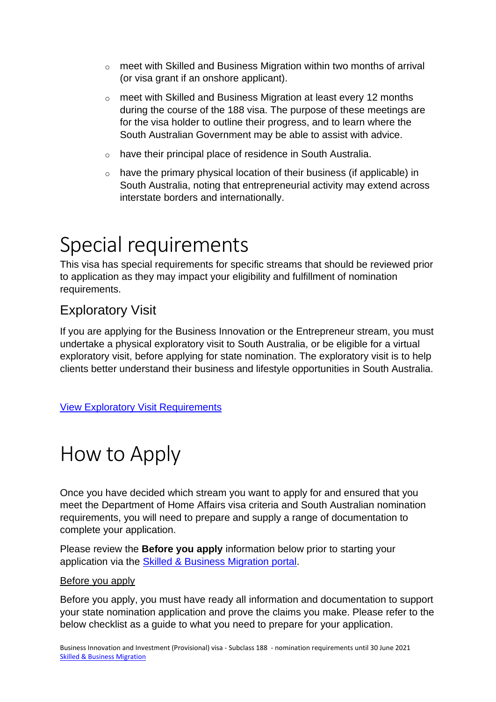- o meet with Skilled and Business Migration within two months of arrival (or visa grant if an onshore applicant).
- o meet with Skilled and Business Migration at least every 12 months during the course of the 188 visa. The purpose of these meetings are for the visa holder to outline their progress, and to learn where the South Australian Government may be able to assist with advice.
- o have their principal place of residence in South Australia.
- $\circ$  have the primary physical location of their business (if applicable) in South Australia, noting that entrepreneurial activity may extend across interstate borders and internationally.

# Special requirements

This visa has special requirements for specific streams that should be reviewed prior to application as they may impact your eligibility and fulfillment of nomination requirements.

### Exploratory Visit

If you are applying for the Business Innovation or the Entrepreneur stream, you must undertake a physical exploratory visit to South Australia, or be eligible for a virtual exploratory visit, before applying for state nomination. The exploratory visit is to help clients better understand their business and lifestyle opportunities in South Australia.

[View Exploratory Visit Requirements](https://www.migration.sa.gov.au/business-migrants/supporting-information/exploratory-visit)

## How to Apply

Once you have decided which stream you want to apply for and ensured that you meet the Department of Home Affairs visa criteria and South Australian nomination requirements, you will need to prepare and supply a range of documentation to complete your application.

Please review the **Before you apply** information below prior to starting your application via the [Skilled & Business Migration portal.](https://apply.migration.sa.gov.au/user/login.php)

#### Before you apply

Before you apply, you must have ready all information and documentation to support your state nomination application and prove the claims you make. Please refer to the below checklist as a guide to what you need to prepare for your application.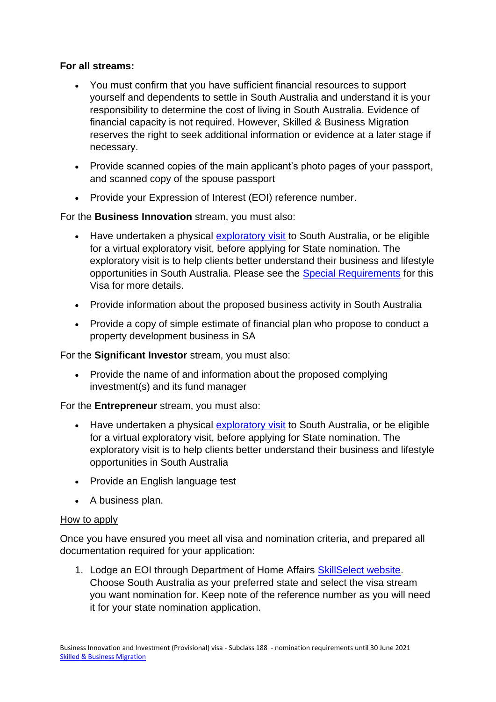#### **For all streams:**

- You must confirm that you have sufficient financial resources to support yourself and dependents to settle in South Australia and understand it is your responsibility to determine the cost of living in South Australia. Evidence of financial capacity is not required. However, Skilled & Business Migration reserves the right to seek additional information or evidence at a later stage if necessary.
- Provide scanned copies of the main applicant's photo pages of your passport, and scanned copy of the spouse passport
- Provide your Expression of Interest (EOI) reference number.

For the **Business Innovation** stream, you must also:

- Have undertaken a physical [exploratory visit](https://www.migration.sa.gov.au/business-migrants/supporting-information/exploratory-visit) to South Australia, or be eligible for a virtual exploratory visit, before applying for State nomination. The exploratory visit is to help clients better understand their business and lifestyle opportunities in South Australia. Please see the [Special Requirements](https://www.migration.sa.gov.au/visa-options/business-and-investment-visas/business-innovation-and-investment-provisional-visa#nav-conditions) for this Visa for more details.
- Provide information about the proposed business activity in South Australia
- Provide a copy of simple estimate of financial plan who propose to conduct a property development business in SA

For the **Significant Investor** stream, you must also:

• Provide the name of and information about the proposed complying investment(s) and its fund manager

For the **Entrepreneur** stream, you must also:

- Have undertaken a physical [exploratory visit](https://www.migration.sa.gov.au/business-migrants/supporting-information/exploratory-visit) to South Australia, or be eligible for a virtual exploratory visit, before applying for State nomination. The exploratory visit is to help clients better understand their business and lifestyle opportunities in South Australia
- Provide an English language test
- A business plan.

#### How to apply

Once you have ensured you meet all visa and nomination criteria, and prepared all documentation required for your application:

1. Lodge an EOI through Department of Home Affairs [SkillSelect website.](https://skillselect.gov.au/SKILLSELECT/ExpressionOfInterest/PreReg/Start) Choose South Australia as your preferred state and select the visa stream you want nomination for. Keep note of the reference number as you will need it for your state nomination application.